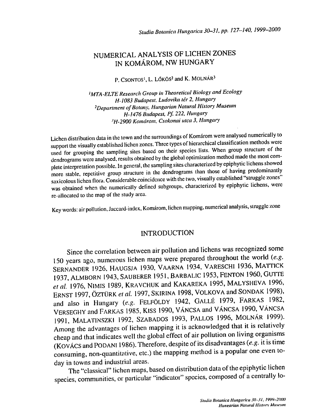## NUMERICAL ANALYSIS OF LICHEN ZONES IN KOMAROM, NW HUNGARY

P. CSONTOS<sup>1</sup>, L. LÕKÖS<sup>2</sup> and K. MOLNÁR<sup>3</sup>

'MTA-ELTE Research Group in Theoretical Biology and Ecology H-1083 Budapest, Ludovika tér 2, Hungary 2Department of Botany, Hungarian Natural History Museum H-1476 Budapest, Pf. 222. Hungary <sup>3</sup>H-2900 Komárom, Csokonai utca 3, Hungary

Lichen distribution data in the town and the surroundings of Komarom were analysed numerically to support the visually established lichen zones. Three types of hierarchical classification methods were used for grouping the sampling sites based on their species lists. When group structure of the dendrograms were analysed, results obtained by the global optimization method made the most com plete interpretation possible. In general, the sampling sites characterized by epiphytic lichens showed more stable, repetitive group structure in the dendrograms than those of having predominantly saxicolous lichen flora. Considerable coincidence with the two, visually established "struggle zones" was obtained when the numerically defined subgroups, characterized by epiphytic lichens, were re-allocated to the map of the study area.

Key words: air pollution, Jaccard-index, Komarom, lichen mapping, numerical analysis, struggle zone

## INTRODUCTION

Since the correlation between air pollution and lichens was recognized some 150 years ago, numerous lichen maps were prepared throughout the world (e.g. SERNANDER 1926, HAUGSJA 1930, VAARNA 1934, VARESCHI 1936, MATTICK 1937 ALMBORN 1943, SAUBERER 1951, BARBALIC 1953,FENTON 1960,GUTTE et al. 1976, NIMIS 1989, KRAVCHUK and KAKAREKA 1995, MALYSHEVA 1996, ERNST 1997, ÖZTÜRK et al. 1997, SKIRINA 1998, VOLKOVA and SONDAK 1998), and also in Hungary (e.g. FELFÖLDY 1942, GALLÉ 1979, FARKAS 1982, VERSEGHY and FARKAS 1985, KISS 1990, VÁNCSA and VÁNCSA 1990, VÁNCSA 1991, MALAT1NSZKI 1992, SZABADOS 1993, PALLOS 1996, MOLNAR 1999). Among the advantages of lichen mapping it is acknowledged that it is relatively cheap and that indicates well the global effect of air pollution on living organisms (KOVÁCS and PODANI 1986). Therefore, despite of its disadvantages (e.g. it is time consuming, non-quantitative, etc.) the mapping method is a popular one even today in towns and industrial areas.

The "classical" lichen maps, based on distribution data of the epiphytic lichen species, communities, or particular "indicator" species, composed of a centrally lo-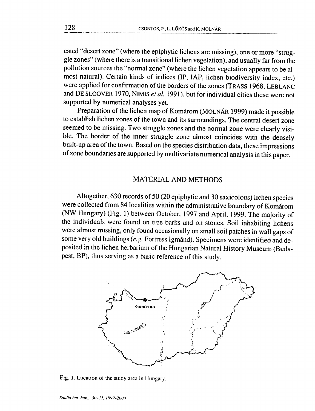cated "desert zone" (where the epiphytic lichens are missing), one or more "struggle zones" (where there is a transitional lichen vegetation), and usually far from the pollution sources the "normal zone" (where the lichen vegetation appears to be almost natural). Certain kinds of indices (IP, IAP, lichen biodiversity index, etc.) were applied for confirmation of the borders of the zones (TRASS 1968, LEBLANC and DE SLOOVER 1970, NIMIS et al. 1991), but for individual cities these were not supported by numerical analyses yet.

Preparation of the lichen map of Komárom (MOLNÁR 1999) made it possible to establish lichen zones of the town and its surroundings. The central desert zone seemed to be missing. Two struggle zones and the normal zone were clearly visible. The border of the inner struggle zone almost coincides with the densely built-up area of the town. Based on the species distribution data, these impressions of zone boundaries are supported by multivariate numerical analysis in this paper.

## **MATERIAL AND METHODS**

Altogether, 630 records of 50 (20 epiphytic and 30 saxicolous) lichen species were collected from 84 localities within the administrative boundary of Komárom (NW Hungary) (Fig. 1) between October, 1997 and April, 1999. The majority of the individuals were found on tree barks and on stones. Soil inhabiting lichens were almost missing, only found occasionally on small soil patches in wall gaps of some very old buildings (e.g. Fortress Igmánd). Specimens were identified and deposited in the lichen herbarium of the Hungarian Natural History Museum (Budapest, BP), thus serving as a basic reference of this study.



Fig. 1. Location of the study area in Hungary.

128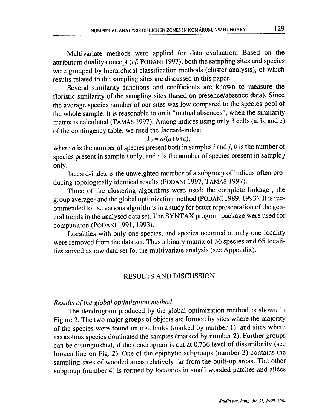Multivariate methods were applied for data evaluation. Based on the attributum duality concept  $(cf. PODANI 1997)$ , both the sampling sites and species were grouped by hierarchical classification methods (cluster analysis), of which results related to the sampling sites are discussed in this paper.

Several similarity functions and coefficients are known to measure the floristic similarity of the sampling sites (based on presence/absence data). Since the average species number of our sites was low compared to the species pool of the whole sample, it is reasonable to omit "mutual absences", when the similarity matrix is calculated (TAMÁS 1997). Among indices using only 3 cells (a, b, and c) of the contingency table, we used the Jaccard-index:

#### $J_{ij} = a/(a+b+c),$

where  $a$  is the number of species present both in samples i and j, b is the number of species present in sample  $i$  only, and  $c$  is the number of species present in sample  $j$ only.

Jaccard-index is the unweighted member of a subgroup of indices often producing topologically identical results (PODANI 1997, TAMÁS 1997).

Three of the clustering algorithms were used: the complete linkage-, the group average- and the global optimization method (PODANI 1989, 1993). It is recommended to use various algorithms in a study for better representation of the general trends in the analysed data set. The SYNTAX program package were used for computation (PODANI 1991, 1993).

Localities with only one species, and species occurred at only one locality were removed from the data set. Thus a binary matrix of 36 species and 65 localities served as raw data set for the multivariate analysis (see Appendix).

## RESULTS AND DISCUSSION

#### Results of the global optimization method

The dendrogram produced by the global optimization method is shown in Figure 2. The two major groups of objects are formed by sites where the majority of the species were found on tree barks (marked by number 1), and sites where saxicolous species dominated the samples (marked by number 2). Further groups can be distinguished, if the dendrogram is cut at 0.736 level of dissimilarity (see broken line on Fig. 2). One of the epiphytic subgroups (number 3) contains the sampling sites of wooded areas relatively far from the built-up areas. The other subgroup (number 4) is formed by localities in small wooded patches and allées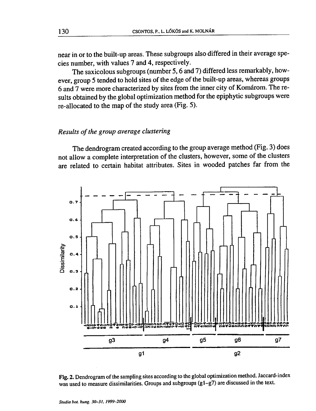near in or to the built-up areas. These subgroups also differed in their average species number, with values 7 and 4, respectively.

The saxicolous subgroups (number 5, 6 and 7) differed less remarkably, however, group 5 tended to hold sites of the edge of the built-up areas, whereas groups 6 and 7 were more characterized by sites from the inner city of Komárom. The results obtained by the global optimization method for the epiphytic subgroups were re-allocated to the map of the study area (Fig. 5).

#### Results of the group average clustering

The dendrogram created according to the group average method (Fig. 3) does not allow a complete interpretation of the clusters, however, some of the clusters are related to certain habitat attributes. Sites in wooded patches far from the



Fig. 2. Dendrogram of the sampling sites according to the global optimization method. Jaccard-index was used to measure dissimilarities. Groups and subgroups (g1-g7) are discussed in the text.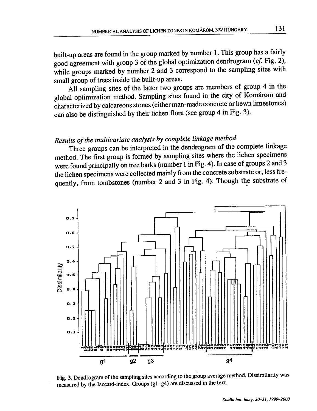built-up areas are found in the group marked by number 1. This group has a fairly good agreement with group 3 of the global optimization dendrogram (cf. Fig. 2), while groups marked by number 2 and 3 correspond to the sampling sites with small group of trees inside the built-up areas.

All sampling sites of the latter two groups are members of group 4 in the global optimization method. Sampling sites found in the city of Komárom and characterized by calcareous stones (either man-made concrete or hewn limestones) can also be distinguished by their lichen flora (see group 4 in Fig. 3).

# Results of the multivariate analysis by complete linkage method

Three groups can be interpreted in the dendrogram of the complete linkage method. The first group is formed by sampling sites where the lichen specimens were found principally on tree barks (number 1 in Fig. 4). In case of groups 2 and 3 the lichen specimens were collected mainly from the concrete substrate or, less frequently, from tombstones (number 2 and 3 in Fig. 4). Though the substrate of



Fig. 3. Dendrogram of the sampling sites according to the group average method. Dissimilarity was measured by the Jaccard-index. Groups (g1-g4) are discussed in the text.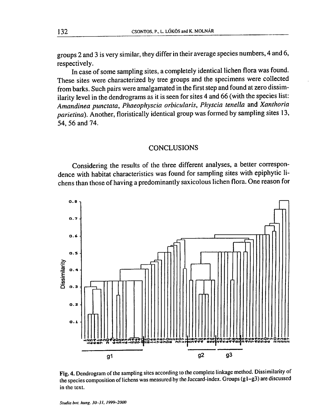groups 2 and 3 is very similar, they differ in their average species numbers, 4 and 6, respectively.

In case of some sampling sites, a completely identical lichen flora was found. These sites were characterized by tree groups and the specimens were collected from barks. Such pairs were amalgamated in the first step and found at zero dissimilarity level in the dendrograms as it is seen for sites 4 and 66 (with the species list: Amandinea punctata, Phaeophyscia orbicularis, Physcia tenella and Xanthoria parietina). Another, floristically identical group was formed by sampling sites 13, 54, 56 and 74.

### **CONCLUSIONS**

Considering the results of the three different analyses, a better correspondence with habitat characteristics was found for sampling sites with epiphytic lichens than those of having a predominantly saxicolous lichen flora. One reason for



Fig. 4. Dendrogram of the sampling sites according to the complete linkage method. Dissimilarity of the species composition of lichens was measured by the Jaccard-index. Groups (g1-g3) are discussed in the text.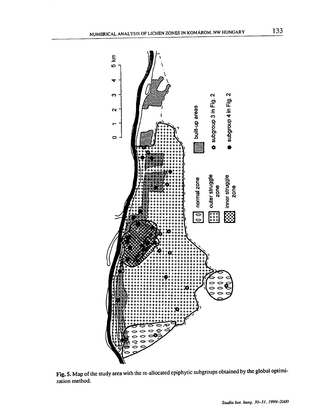

Fig. 5. Map of the study area with the re-allocated epiphytic subgroups obtained by the global optimization method.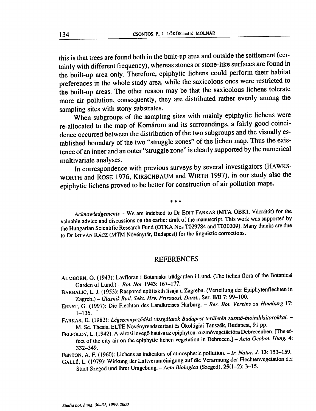this is that trees are found both in the built-up area and outside the settlement (certainly with different frequency), whereas stones or stone-like surfaces are found in the built-up area only. Therefore, epiphytic lichens could perform their habitat preferences in the whole study area, while the saxicolous ones were restricted to the built-up areas. The other reason may be that the saxicolous lichens tolerate more air pollution, consequently, they are distributed rather evenly among the sampling sites with stony substrates.

When subgroups of the sampling sites with mainly epiphytic lichens were re-allocated to the map of Komárom and its surroundings, a fairly good coincidence occurred between the distribution of the two subgroups and the visually established boundary of the two "struggle zones" of the lichen map. Thus the existence of an inner and an outer "struggle zone" is clearly supported by the numerical multivariate analyses.

In correspondence with previous surveys by several investigators (HAWKS-WORTH and ROSE 1976, KIRSCHBAUM and WIRTH 1997), in our study also the epiphytic lichens proved to be better for construction of air pollution maps.

 $* * *$ 

Acknowledgements - We are indebted to Dr EDIT FARKAS (MTA ÖBKI, Vácrátót) for the valuable advice and discussions on the earlier draft of the manuscript. This work was supported by the Hungarian Scientific Research Fund (OTKA Nos T029784 and T030209). Many thanks are due to Dr ISTVÁN RÁCZ (MTM Növénytár, Budapest) for the linguistic corrections.

#### **REFERENCES**

- ALMBORN, O. (1943): Lavfloran i Botaniska trädgarden i Lund. (The lichen flora of the Botanical Garden of Lund.) - Bot. Not. 1943: 167-177.
- BARBALIC, L. J. (1953): Raspored epifitskih lisaja u Zagrebu. (Verteilung der Epiphytenflechten in Zagreb.) - Glasnik Biol. Sekc. Hrv. Prirodosl. Durst., Ser. II/B 7: 99-100.
- ERNST, G. (1997): Die Flechten des Landkreises Harburg. Ber. Bot. Vereins zu Hamburg 17:  $1 - 136.$
- FARKAS, E. (1982): Légszennyeződési vizsgálatok Budapest területén zuzmó-bioindikátorokkal. -M. Sc. Thesis, ELTE Növényrendszertani és Ökológiai Tanszék, Budapest, 91 pp.
- FELFÖLDY, L. (1942): A városi levegő hatása az epiphyton-zuzmóvegetációra Debrecenben. [The effect of the city air on the epiphytic lichen vegetation in Debrecen.] - Acta Geobot. Hung. 4: 332-349.
- FENTON, A. F. (1960): Lichens as indicators of atmospheric pollution. Ir. Natur. J. 13: 153-159.
- GALLÉ, L. (1979): Wirkung der Luftverunreinigung auf die Verarmung der Flechtenvegetation der Stadt Szeged und ihrer Umgebung. - Acta Biologica (Szeged), 25(1-2): 3-15.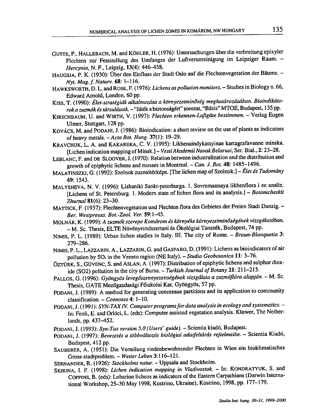- GUTTE, P., HALLEBACH, M. and KÖHLER, H. (1976): Untersuchungen über die verbreitung epixyler Flechten zur Feststellung des Umfanges der Luftverunreinigung im Leipziger Raum. -Hercynia, N. F., Leipzig, 13(4): 446-458.
- HAUGSJA, P. K. (1930): Über den Einfluss der Stadt Oslo auf die Flechtenvegetation der Bäume. -Nyt. Mag. f. Natury. 68: 1-116.
- HAWKSWORTH, D. L. and ROSE, F. (1976): Lichens as pollution monitors. Studies in Biology n. 66, Edward Arnold, London, 60 pp.
- KISS, T. (1990): Élet-stratégiák alkalmazása a környezetminőség meghatározásában. Bioindikátorok a zuzmók és társulásaik. - "Játék a biztonságért" sorozat, "Bázis" MTOE, Budapest, 135 pp.
- KIRSCHBAUM, U. and WIRTH, V. (1997): Flechten erkennen-Luftgüte bestimmen. Verlag Eugen Ulmer, Stuttgart, 128 pp.
- KOVÁCS, M. and PODANI, J. (1986): Bioindication: a short review on the use of plants as indicators of heavy metals.  $-Acta Bot. Hung. 37(1): 19-29.$
- KRAVCHUK, L. A. and KAKAREKA, C. V. (1995): Likhenaindykatsyinae kartagrafavanne minska. [Lichen indication mapping of Minsk.] - Vesti Akademii Navak Belarusi, Ser. Bial., 2: 23-28.
- LEBLANC, F. and DE SLOOVER, J. (1970): Relation between industralization and the distribution and growth of epiphytic lichens and mosses in Montreal. - Can. J. Bot. 48: 1485-1496.
- MALATINSZKI, G. (1992): Szolnok zuzmótérképe. [The lichen map of Szolnok.] Élet és Tudomány 49: 1543.
- MALYSHEVA, N. V. (1996): Lishaniki Sankt-peterburga. 1. Sovremannaya likhenflora i ee analiz. [Lichens of St. Petersburg. 1. Modern state of lichen flora and its analysis.] - Botanicheskii Zhurnal 81(6): 23-30.
- MATTICK, F. (1937): Flechtenvegetation und Flechten flora des Gebietes der Freien Stadt Danzig. -Ber. Westpreuss. Bot.-Zool. Ver. 59:1-45.
- MOLNÁR, K. (1999): A zuzmók szerepe Komárom és környéke környezetminőségének vizsgálatában. - M. Sc. Thesis, ELTE Növényrendszertani és Ökológiai Tanszék, Budapest, 74 pp.
- NIMIS, P. L. (1989): Urban lichen studies in Italy. III. The city of Rome. Braun-Blanquetia 3: 279-286.
- NIMIS, P. L., LAZZARIN, A., LAZZARIN, G. and GASPARO, D. (1991): Lichens as bioindicators of air pollution by SO<sub>2</sub> in the Veneto region (NE Italy). - Studia Geobotanica 11: 3-76.
- ÖZTÜRK, S., GÜVENC, S. and ASLAN, A. (1997): Distribution of epiphytic lichens and sulphur dioxide (SO2) pollution in the city of Bursa. - Turkish Journal of Botany 21: 211-215.
- PALLOS, G. (1996): Gyöngyös levegőszennyezettségének vizsgálata a zuzmóflóra alapján. M. Sc. Thesis, GATE Mezőgazdasági Főiskolai Kar, Gyöngyös, 57 pp.
- PODANI, J. (1989): A method for generating concensus partitions and its application to community classification. - Coenoses 4: 1-10.
- PODANI, J. (1991): SYN-TAX IV. Computer programs for data analysis in ecology and systematics. -In: Feoli, E. and Orlóci, L. (eds): Computer assisted vegetation analysis. Kluwer, The Netherlands, pp. 437-452.
- PODANI, J. (1993): Syn-Tax version 5.0 (Users' guide). Scientia kiadó, Budapest.
- PODANI, J. (1997): Bevezetés a többváltozós biológiai adatfeltárás rejtelmeibe. Scientia Kiadó, Budapest, 412 pp.
- SAUBERER, A. (1951): Die Verteilung rindenbewohnender Flechten in Wien ein bioklimatisches Gross-stadtproblem. - Wetter Leben 3:116-121.
- SERNANDER, R. (1926): Stockholms natur. Uppsala and Stockholm.
- SKIRINA, I. F. (1998): Lichen indication mapping in Vladivostok. In: KONDRATYUK, S. and COPPINS, B. (eds): Lobarion lichens as indicators of the Eastern Carpathians (Darwin International Workshop, 25-30 May 1998, Kostrino, Ukraine), Kostrino, 1998, pp. 177-179.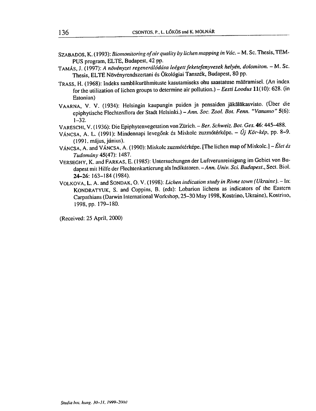- SZABADOS, K. (1993): Biomonitoring of air quality by lichen mapping in Vác. M. Sc. Thesis, TEM-PUS program, ELTE, Budapest, 42 pp.
- TAMÁS, J. (1997): A növényzet regenerálódása leégett feketefenyvesek helyén, dolomiton. M. Sc. Thesis, ELTE Növényrendszertani és Ökológiai Tanszék, Budapest, 80 pp.
- TRASS, H. (1968): Indeks samblikurühmituste kasutamiseks ohu saastatuse määramisel. (An index for the utilization of lichen groups to determine air pollution.) - Eesti Loodus 11(10): 628. (in Estonian)
- VAARNA, V. V. (1934): Helsingin kaupungin puiden ja pensaiden jäkäläkasvisto. (Über die epiphytische Flechtenflora der Stadt Helsinki.) - Ann. Soc. Zool. Bot. Fenn. "Vanamo" 5(6):  $1 - 32.$
- VARESCHI, V. (1936): Die Epiphytenvegetation von Zürich. Ber. Schweiz. Bot. Ges. 46: 445-488.
- VÁNCSA, A. L. (1991): Mindennapi levegőnk és Miskolc zuzmótérképe. Új Kör-kép, pp. 8–9. (1991. május, június).
- VÁNCSA, A. and VÁNCSA, A. (1990): Miskolc zuzmótérképe. [The lichen map of Miskolc.] Élet és Tudomány 45(47): 1487.
- VERSEGHY, K. and FARKAS, E. (1985): Untersuchungen der Luftverunreinigung im Gebiet von Budapest mit Hilfe der Flechtenkartierung als Indikatoren. - Ann. Univ. Sci. Budapest., Sect. Biol. 24-26: 163-184 (1984).
- VOLKOVA, L. A. and SONDAK, O. V. (1998): Lichen indication study in Rivne town (Ukraine). In: KONDRATYUK, S. and Coppins, B. (eds): Lobarion lichens as indicators of the Eastern Carpathians (Darwin International Workshop, 25-30 May 1998, Kostrino, Ukraine), Kostrino, 1998, pp. 179-180.

(Received: 25 April, 2000)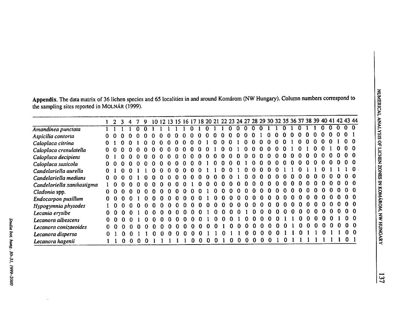Appendix. The data matrix of 36 lichen species and 65 localities in and around Komárom (NW Hungary). Column numbers correspond to the sampling sites reported in MOLNÁR (1999).

|                            |              |              |              |  | -9           |    |    |              |              |   |              |              |              |              |              |              |              |              |              |     | 10 12 13 15 16 17 18 20 21 22 23 24 27 28 29 30 32 35 36 37 38 39 40 41 42 43 44 |   |          |              |          |              |          |          |                |                |
|----------------------------|--------------|--------------|--------------|--|--------------|----|----|--------------|--------------|---|--------------|--------------|--------------|--------------|--------------|--------------|--------------|--------------|--------------|-----|----------------------------------------------------------------------------------|---|----------|--------------|----------|--------------|----------|----------|----------------|----------------|
| Amandinea punctata         |              |              |              |  |              |    |    |              |              |   |              |              |              |              | $\Omega$     | $\Omega$     | $\Omega$     | $\Omega$     |              |     |                                                                                  |   |          |              |          |              |          |          | 0 <sub>0</sub> |                |
| Aspicilia contorta         |              |              |              |  |              |    |    |              |              |   |              |              |              |              | O            |              |              |              |              |     |                                                                                  |   |          |              |          |              | n        |          | $\Omega$       |                |
| Caloplaca citrina          |              |              |              |  |              |    |    |              |              |   |              |              |              |              |              |              |              |              |              |     |                                                                                  |   |          |              |          |              |          |          |                |                |
| Caloplaca crenulatella     |              |              |              |  |              |    |    |              |              |   |              |              |              |              | O            |              |              |              |              |     |                                                                                  |   |          |              |          |              |          |          |                | n              |
| Caloplaca decipiens        |              |              |              |  |              |    | 0  |              |              |   |              |              | $\mathbf{u}$ | n            | 0            |              |              |              |              |     |                                                                                  |   |          |              |          |              |          |          |                | -0             |
| Caloplaca saxicola         |              |              |              |  |              |    |    |              | n            |   |              |              | ∩            | n            | O            | n            |              |              | n            |     | 0                                                                                |   | n        |              |          |              |          |          | 00             |                |
| Candelariella aurella      |              |              |              |  |              |    | o  |              | $\Omega$     |   |              |              |              | n            | 0            |              |              |              | o            |     |                                                                                  |   |          |              |          |              |          |          |                | $\Omega$       |
| Candelariella medians      | 0            | -11          |              |  |              |    | o  |              |              |   |              |              | o            | n            | 0            |              | o            |              |              |     |                                                                                  |   | o        |              |          |              |          |          |                | -0             |
| Candelariella xanthostigma |              |              |              |  |              |    |    | n            | 0            |   | 0            | -0           | $\mathbf{u}$ | $\mathbf{u}$ | $\mathbf{0}$ | -0           | Ð            | -0           | $\mathbf{u}$ |     |                                                                                  |   | n        |              |          |              | n        |          |                | $\mathbf{0}$   |
| Cladonia spp.              | 0            | -0           | 11           |  |              | Ð  | n  | $\mathbf{a}$ | n            |   | n            |              | <sup>0</sup> | $\Omega$     | $\Omega$     | -0           | $\Omega$     | -0           | $\mathbf{u}$ | -0  | n                                                                                | o | 0        |              |          |              | n        |          |                | -0             |
| Endocarpon pusillum        | $\mathbf{0}$ | -0           |              |  | n.           |    | n  | $\Omega$     | n            |   |              |              | <sup>0</sup> | n            | n            | $\Omega$     | $\mathbf{0}$ | -0           | $\mathbf u$  | n   | n                                                                                |   | $\Omega$ | n            |          |              |          |          |                | -0             |
| Hypogynnia physodes        |              | $\mathbf{u}$ | $\mathbf{u}$ |  | $\mathbf{a}$ | n. | n. | n            | n            | n | <sup>0</sup> | $\mathbf{u}$ | n            | -0-          | n            | $\mathbf{v}$ | $\mathbf{a}$ | $\mathbf{u}$ | $\mathbf{a}$ | n   | n                                                                                |   | $\Omega$ | o            | n        |              |          |          |                |                |
| Lecania erysibe            | 0            | 0            | Ω            |  |              |    |    |              | $\mathbf{u}$ |   |              |              |              |              | n            |              |              |              | $\Omega$     | -0- | $\Omega$                                                                         |   | -0       | $\mathbf{u}$ | $\Omega$ |              | n        |          |                |                |
| Lecanora albescens         | 0            | $\mathbf{u}$ |              |  |              |    |    |              |              |   |              |              | n            |              |              |              |              |              |              |     |                                                                                  |   |          | 0            | -0       |              | $\Omega$ |          |                |                |
| Lecanora conizaeoides      | 0            | 0            |              |  |              |    |    |              |              |   |              |              |              |              | O.           | n            |              |              |              | o   |                                                                                  |   |          | 0            | n        | $\mathbf{0}$ | $\Omega$ | $\Omega$ |                | $0\quad 0$     |
| Lecanora dispersa          | 0.           |              |              |  |              |    | n  |              |              |   |              |              |              |              |              |              |              |              |              | o   |                                                                                  |   |          |              |          |              |          |          |                | 0 <sub>0</sub> |
| Lecanora hagenii           |              |              |              |  |              |    |    |              |              |   |              |              |              |              |              |              |              |              |              |     |                                                                                  |   |          |              |          |              |          |          | 0              |                |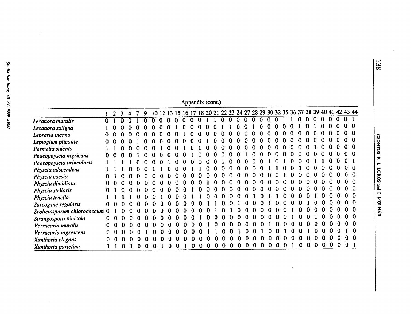| Appendix (cont.) |  |
|------------------|--|
|                  |  |

|                             |              |          |          |   |          | 9        |   |              |          |              |          |          |          |          |              |              |              |              |          |              |              | 10 12 13 15 16 17 18 20 21 22 23 24 27 28 29 30 32 35 36 37 38 39 40 41 42 43 44 |          |              |          |          |              |              |              |          |          |                |
|-----------------------------|--------------|----------|----------|---|----------|----------|---|--------------|----------|--------------|----------|----------|----------|----------|--------------|--------------|--------------|--------------|----------|--------------|--------------|----------------------------------------------------------------------------------|----------|--------------|----------|----------|--------------|--------------|--------------|----------|----------|----------------|
| Lecanora muralis            | $\Omega$     |          |          | ∩ |          |          |   | <sup>n</sup> | $\Omega$ | $\Omega$     | $\Omega$ | $\Omega$ |          |          | $\Omega$     | $\mathbf{0}$ | $\bf{0}$     | $\mathbf{0}$ | $\Omega$ | $\Omega$     | ∩            |                                                                                  |          |              | 0        | $\Omega$ | $\Omega$     |              | $\Omega$     | $\Omega$ |          |                |
| Lecanora saligna            |              |          |          |   |          |          |   |              |          |              |          |          |          |          |              |              |              |              |          |              |              |                                                                                  |          |              |          |          |              | n            | n            | $\Omega$ | $\Omega$ | -0             |
| Lepraria incana             | o            |          |          |   |          |          |   |              |          |              |          |          |          |          |              | 0            | Ω            |              | n        | $\mathbf{u}$ | o            |                                                                                  | ึก       |              | 0        | n        | 0            | $\Omega$     | $\Omega$     |          |          |                |
| Leptogium plicatile         | o            |          |          |   |          |          |   |              | n        | n            |          |          |          |          |              |              | o            |              | $\Omega$ |              | n            |                                                                                  | n        |              | $\Omega$ |          | n            |              |              |          |          |                |
| Parmelia sulcata            |              |          |          |   |          |          |   | <sup>0</sup> |          |              |          |          |          | $\Omega$ | $\Omega$     | $\Omega$     | ∩            | $\Omega$     | $\Omega$ | $\Omega$     | <sup>0</sup> |                                                                                  | n        | n.           | $\Omega$ |          |              |              | n            |          |          |                |
| Phaeophyscia nigricans      | 0            |          |          |   |          |          |   |              |          |              |          |          |          |          |              | $\Omega$     | $\Omega$     |              | O        | $\Omega$     | $\Omega$     | n                                                                                | 0        | $\Omega$     | n        | U        |              |              | n            |          |          |                |
| Phaeophyscia orbicularis    |              |          |          |   |          |          |   |              | 0        | <sup>0</sup> | o        |          |          | 0        |              |              | O            |              |          |              |              |                                                                                  |          |              |          |          |              |              |              |          |          |                |
| Physcia adscendens          |              |          |          |   |          |          |   |              |          |              |          |          |          |          |              |              | O            |              |          |              |              |                                                                                  |          |              |          |          |              |              |              | $\Omega$ |          |                |
| Physcia caesia              |              |          |          |   |          |          |   |              |          |              |          |          |          |          |              |              | <sup>n</sup> | <sup>n</sup> | 0        | O.           | n            | n                                                                                |          |              | O        |          |              |              |              |          |          |                |
| Physcia dimidiata           |              |          |          |   |          |          |   |              | n        |              |          |          |          |          | n            |              | <sup>n</sup> | $\Omega$     | $\Omega$ | $\Omega$     | - 0          |                                                                                  | $\Omega$ |              | $\Omega$ |          |              |              |              |          |          |                |
| Physcia stellaris           |              |          |          |   |          |          |   | $\Omega$     | $\Omega$ |              |          |          | $\Omega$ | $\Omega$ | n            | $\Omega$     | $\Omega$     | $\Omega$     | n        |              |              |                                                                                  | $\Omega$ |              |          |          |              |              |              |          |          |                |
| Physcia tenella             |              |          |          |   |          |          |   | 0            | n        |              |          |          | $\Omega$ | $\Omega$ | $\Omega$     | $\mathbf{v}$ | 0            | 0            |          |              |              |                                                                                  | 0        | n            |          | 0        |              |              |              |          |          |                |
| Sarcogyne regularis         | $\mathbf{0}$ |          |          |   |          |          |   |              |          |              | n        |          |          |          |              |              |              |              |          |              |              |                                                                                  |          |              |          |          |              | n            |              |          |          |                |
| Scoliciosporum chlorococcum | $\bf{0}$     |          |          |   |          |          |   |              |          |              |          |          |          |          |              |              |              |              |          |              |              |                                                                                  |          |              |          |          |              | 0            | 0            |          |          |                |
| Strangospora pinicola       | 0            | $\Omega$ | 0        |   |          |          |   |              | n        |              |          |          | ∩        | Ω        | 0            | O            | <sup>0</sup> | 0            | $\Omega$ | ∩            |              | O                                                                                | $\Omega$ |              | $\Omega$ | $\Omega$ |              | <sup>0</sup> | $\mathbf{u}$ | $\Omega$ |          | 0 O            |
| Verrucaria muralis          | 0            | $\Omega$ | n        |   |          |          | n | 0            | n        | $\Omega$     | ∩        |          |          | n.       | $\Omega$     | $\Omega$     | $\Omega$     | $\Omega$     | $\Omega$ | 0            |              | ∩                                                                                |          | <sup>0</sup> | $\Omega$ | 0        | $\Omega$     | $\Omega$     |              |          |          |                |
| Verrucaria nigrescens       | 0            | O        | 0        |   |          |          |   |              | $\Omega$ | $\Omega$     | $\Omega$ |          |          |          | $\mathbf{0}$ | $\Omega$     |              | $\Omega$     | $\Omega$ |              |              | <sup>0</sup>                                                                     |          | 0            | n        |          | $\Omega$     | $\Omega$     | $\Omega$     |          |          | - 0            |
| Xanthoria elegans           | 0            | O        | Ð        |   |          |          |   |              | n        |              | n        |          |          |          |              | 0            |              |              |          |              |              |                                                                                  |          | o            | o        | n        | <sup>0</sup> | $\Omega$     | $\mathbf{u}$ | $\Omega$ |          | 0 <sub>0</sub> |
| Xanthoria parietina         |              |          | $\bf{0}$ |   | $\Omega$ | $\Omega$ |   | $\mathbf{0}$ | 0        |              |          |          |          | 0        | $\Omega$     | $\Omega$     | $\Omega$     | o            | $\Omega$ | $\Omega$     | $\Omega$     | $\Omega$                                                                         | $\Omega$ |              | -0       | 0        | $\Omega$     | $\bf{0}$     | $\Omega$     | 0        | $\Omega$ |                |

138

 $\sim$ 

 $\mathcal{L}_{\mathcal{L}}$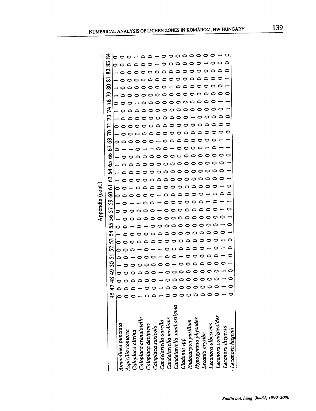|                            | reportion                                                                                                                                                                         |                                       |
|----------------------------|-----------------------------------------------------------------------------------------------------------------------------------------------------------------------------------|---------------------------------------|
|                            | ఐ<br>ಜ<br>∞<br>ຂ<br>բ<br>78<br>74<br>52<br><b>F1</b><br>5<br>3<br>5<br>8<br>65<br>Z<br>S<br>ত<br>ত<br>ဒွ<br>ၵ<br>57<br>న<br>ဢ<br>र्द्र<br>ς<br>25<br>m<br>ຊ<br>ဒ္<br>क्ष<br>45 47 | ळ                                     |
|                            | 0<br>⊣<br>0<br>0                                                                                                                                                                  |                                       |
| Amandinea punciata         | 0<br>0<br>0<br>0<br>0<br>0<br>0<br>0<br>0<br>0<br>0<br>。<br>。                                                                                                                     |                                       |
|                            | 0<br>0<br>0<br>0<br>0<br>0<br>0<br>0<br>0<br>0<br>o<br>0<br>0                                                                                                                     |                                       |
| Aspicilia contorta         | o<br>0<br>0<br>0<br>o<br>0<br>0<br>0<br>0<br>0<br>0<br>0<br>0                                                                                                                     |                                       |
| Caloplaca citrina          | 0<br>0<br>0<br>0<br>0<br>0<br>0                                                                                                                                                   |                                       |
| Caloplaca crenulatella     | 0<br>0<br>0<br>0<br>0<br>0<br>0<br>0                                                                                                                                              |                                       |
|                            | 0<br>0<br>0<br>0<br>0<br>0<br>0<br>0<br>0<br>0<br>0<br>0<br>0<br>0<br>0<br>0<br>0<br>0<br>0<br>$\overline{\phantom{0}}$<br>0<br>0<br>0<br>0                                       |                                       |
| Caloplaca decipiens        | 0<br>0<br>0<br>0<br>0<br>0<br>0<br>o<br>0<br>o<br>0<br>0<br>0<br>0<br>0<br>0<br>o<br>0<br>0<br>0                                                                                  | 0                                     |
| Caloplaca saxicola         | っ<br>0<br>00<br>$\circ$<br>$\circ$ $\circ$<br>0<br>$\circ$<br>0<br>0<br>0<br>0<br>0<br>0<br>0<br>$\overline{\phantom{0}}$<br>٠<br>0<br>0<br>0<br>0<br>0                           | $\overline{\phantom{a}}$              |
| Candelariella aurella      | 0<br>$\circ$<br>0<br>$\circ$<br>0<br>っ<br>0<br>0<br>0<br>o<br>0<br>0<br>0<br>0<br>4                                                                                               |                                       |
| Candelariella medians      | $\circ$<br>0<br>0<br>$\overline{\phantom{0}}$<br>0<br>◒<br>0<br>0<br>0<br>0<br>0<br>0<br>0<br>$\circ$<br>0<br>0<br>0<br>0<br>0<br>0                                               |                                       |
| Candelariella xanthostigma | 0<br>0<br>0<br>o<br>o<br>-<br>o<br>0<br>0<br>0<br>0<br>0<br>0<br>0<br>っ<br>0<br>0<br>$\circ$<br>0<br>0                                                                            |                                       |
|                            | 0<br>$\circ$<br>0<br>0<br>0<br>0<br>0<br>ဝ<br>0<br>o<br>0<br>0<br>0<br>∘<br>0<br>0<br>0<br>0<br>0<br>0<br>0<br>っ<br>0<br>っ<br>o<br>$\circ$                                        |                                       |
| Cladonia spp.              | 0<br>◒<br>0<br>0<br>0<br>0<br>0<br>0<br>0<br>o<br>0<br>0<br>0<br>0<br>0<br>0<br>$\circ \circ \circ$<br>0<br>っ<br>0<br>$\circ$<br>0<br>0<br>0<br>0                                 |                                       |
| Endocarpon pusillum        | 0<br>0<br>0<br>0<br>0<br>0<br>0<br>$\overline{\phantom{0}}$<br>0<br>0<br>0<br>っ<br>っ<br>っ<br>っ<br>0<br>0<br>o<br>0                                                                |                                       |
| Hypogymnia physodes        | o<br>o<br>0<br>0<br>0<br>0<br>0<br>0<br>0<br>0<br>0<br>0<br>っ<br>0<br>0<br>0<br>0                                                                                                 | $\circ \circ \circ \circ \circ \circ$ |
| Lecania erysibe            | o<br>o<br>0<br>っ<br>0<br>⊝<br>0<br>0<br>0<br>0<br>0<br>0<br>0<br>o<br>o<br>o<br>0                                                                                                 | っ                                     |
| Lecanora albescens         | 0<br>0<br>0<br>0<br>0<br>0<br>ᅌ<br>0<br>0<br>0<br>0<br>0<br>0<br>0<br>0<br>0<br>0                                                                                                 |                                       |
|                            | 0<br>0<br>0<br>0<br>0<br>0<br>0<br>o                                                                                                                                              | 0                                     |
| Lecanora conizaeoides      | 0<br>0<br>0<br>0<br>0<br>0<br>0<br>o<br>0                                                                                                                                         |                                       |
| Lecanora dispersa          | 0<br>0<br>0<br>0                                                                                                                                                                  |                                       |
| Lecanora hagenii           | 0<br>0<br>0<br>0<br>0                                                                                                                                                             |                                       |

Appendix (cont.)